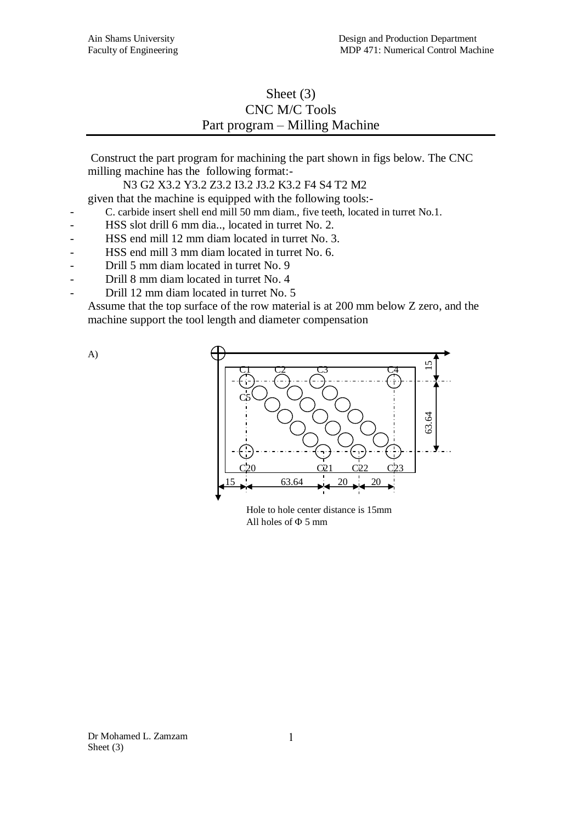# Sheet (3) CNC M/C Tools Part program – Milling Machine

Construct the part program for machining the part shown in figs below. The CNC milling machine has the following format:-

N3 G2 X3.2 Y3.2 Z3.2 I3.2 J3.2 K3.2 F4 S4 T2 M2

given that the machine is equipped with the following tools:-

- C. carbide insert shell end mill 50 mm diam., five teeth, located in turret No.1.
- HSS slot drill 6 mm dia.., located in turret No. 2.
- HSS end mill 12 mm diam located in turret No. 3.
- HSS end mill 3 mm diam located in turret No. 6.
- Drill 5 mm diam located in turret No. 9
- Drill 8 mm diam located in turret No. 4
- Drill 12 mm diam located in turret No. 5

Assume that the top surface of the row material is at 200 mm below Z zero, and the machine support the tool length and diameter compensation





Hole to hole center distance is 15mm All holes of  $\Phi$  5 mm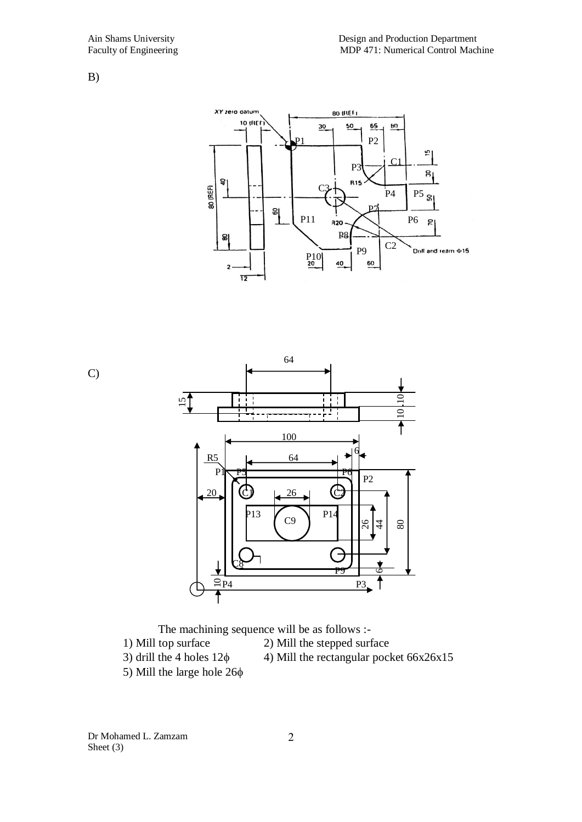B)



C)





Dr Mohamed L. Zamzam Sheet (3)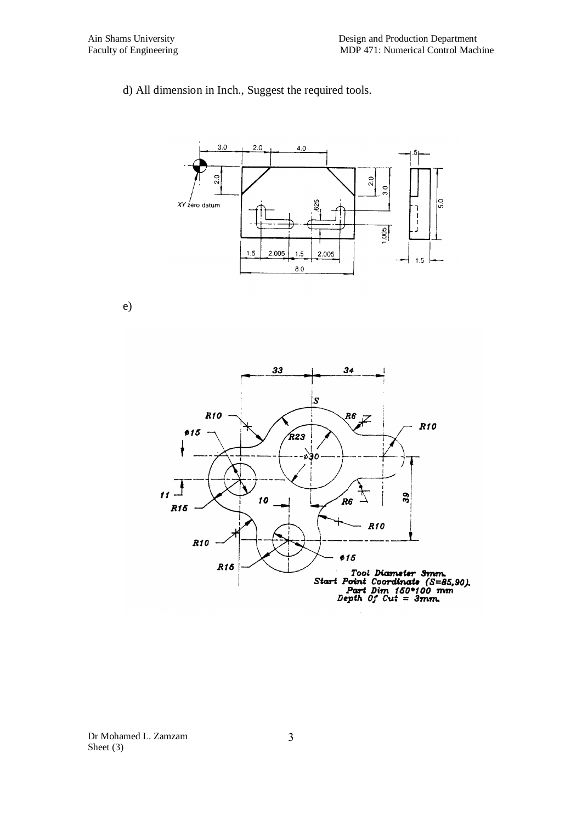## d) All dimension in Inch., Suggest the required tools.



e)

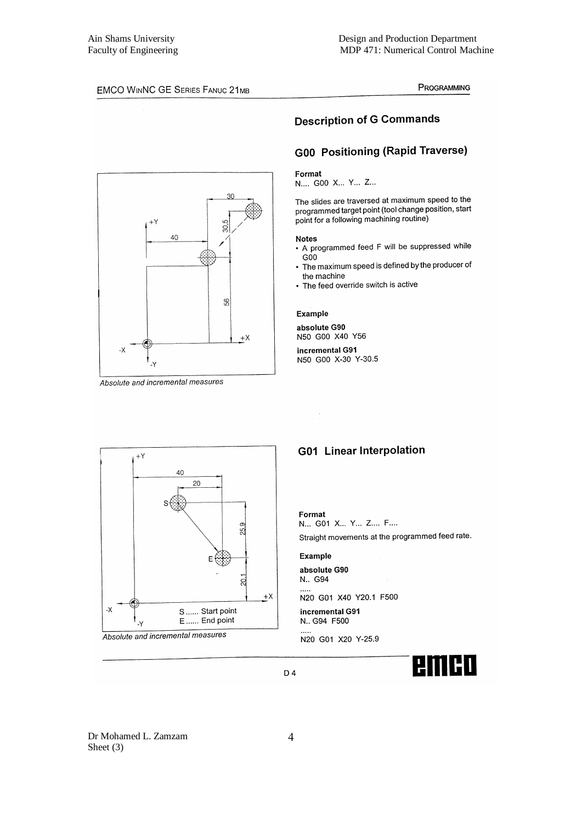#### PROGRAMMING



#### Absolute and incremental measures



## **G00 Positioning (Rapid Traverse)**

#### Format

N.... G00 X... Y... Z...

The slides are traversed at maximum speed to the programmed target point (tool change position, start point for a following machining routine)

#### **Notes**

- A programmed feed F will be suppressed while
- $G00$ • The maximum speed is defined by the producer of the machine
- The feed override switch is active

### **Example**

absolute G90 N50 G00 X40 Y56

incremental G91 N50 G00 X-30 Y-30.5





## **G01 Linear Interpolation**

Format N... G01 X... Y... Z.... F....

Straight movements at the programmed feed rate.

#### **Example**

absolute G90 N., G94

N20 G01 X40 Y20.1 F500 incremental G91

N., G94 F500

N20 G01 X20 Y-25.9



Dr Mohamed L. Zamzam Sheet  $(3)$ 

D 4